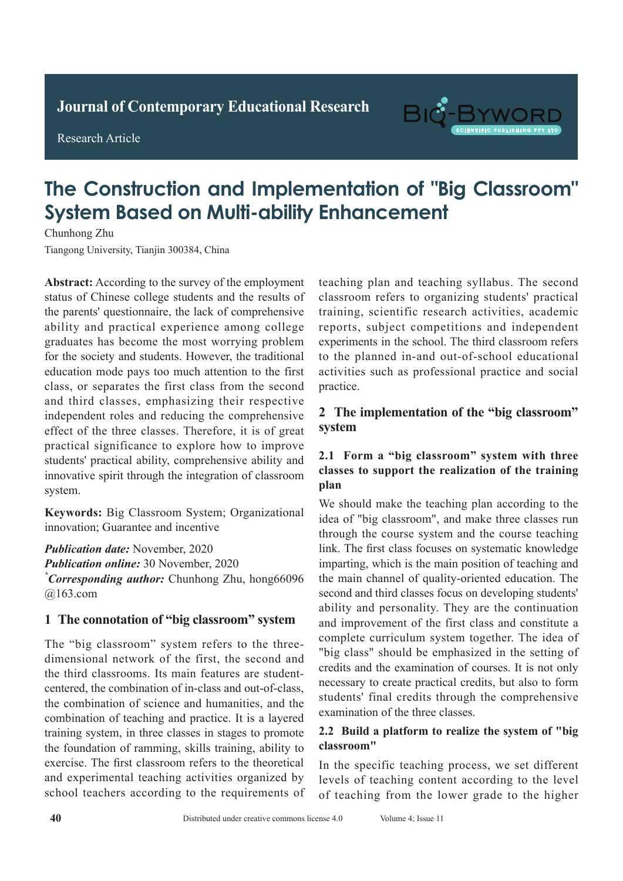**Journal of Clinical and Nursing Research Journal of Contemporary Educational Research**

**Research Article** 

Research Article



# **The Construction and Implementation of "Big Classroom" System Based on Multi-ability Enhancement**

Chunhong Zhu Tiangong University, Tianjin 300384, China **Chunhong Zhu** 

Abstract: According to the survey of the employment status of Chinese college students and the results of the parents' questionnaire, the lack of comprehensive ability and practical experience among college graduates has become the most worrying problem for the society and students. However, the traditional education mode pays too much attention to the first class, or separates the first class from the second and third classes, emphasizing their respective independent roles and reducing the comprehensive effect of the three classes. Therefore, it is of great practical significance to explore how to improve students' practical ability, comprehensive ability and innovative spirit through the integration of classroom  $\frac{1}{\sqrt{2}}$  system rate of 92.00% (*P*>0.05) in the conventional chest system.

Keywords: Big Classroom System; Organizational innovation; Guarantee and incentive  $\mathcal{L}$  and detection rate of spiral CT enhanced scans  $\mathcal{L}$ 

Publication date: November, 2020 Publication online: 30 November, 2020 *\*Corresponding author:* Chunhong Zhu, hong66096 and *a* 163.com The difference was statistically significant (*P*<0.05).

#### 1 The connotation of "big classroom" system that of conventional chest X-ray of 79.31%. *P*<0.05). The comptation of *Dig* classroom system

only find special tuberculosis lesions that cannot be The "big classroom" system refers to the threedimensional network of the first, the second and the third classrooms. Its main features are studentthe combination of science and humanities, and the combination of teaching and practice. It is a layered training system, in three classes in stages to promote the foundation of ramming, skills training, ability to exercise. The first classroom refers to the theoretical and experimental teaching activities organized by and capernmental teaching activities organized by school teachers according to the requirements of centered, the combination of in-class and out-of-class, *\*Corresponding author:* Ruishu Wang, wrs26121939@

teaching plan and teaching syllabus. The second classroom refers to organizing students' practical training, scientific research activities, academic reports, subject competitions and independent experiments in the school. The third classroom refers to the planned in-and out-of-school educational activities such as professional practice and social practice. and endanger patients' lives[2-3]. In addition, patients  $practive.$ 

#### 2 The implementation of the "big classroom" system system and in a number patient at the lives of the state of the state in an addition, patients of the state of the state of the state of the state of the state of the state of the state of the state of the state of the state of t  $\mathbf y$ stumonary tuberculosis have an incubation periodici $\mathbf x$

#### 2.1 Form a "big classroom" system with three **classes to support the realization of the training**  $plan$ **plan** or the improvement of the training  $\sum_{i=1}^{n}$

We should make the teaching plan according to the idea of "big classroom", and make three classes run through the course system and the course teaching link. The first class focuses on systematic knowledge imparting, which is the main position of teaching and the main channel of quality-oriented education. The its second and third classes focus on developing students' ability and personality. They are the continuation and improvement of the first class and constitute a complete curriculum system together. The idea of active pulmonary tuberculosis. "big class" should be emphasized in the setting of "big class" should be emphasized in the setting of credits and the examination of courses. It is not only students' final credits through the comprehensive necessary to create practical credits, but also to form examination of the three classes.

#### The clinical data of 60 adult patients with active 2.2 Build a platform to realize the system of "big hospital from January 2018 to November 2018 to November 2019 were 2019 were 2019 were 2019 were 2019 were 2019 **classroom**"

In the specific teaching process, we set different levels of teaching content according to the level of teaching from the lower grade to the higher In the specific teaching process, we set different levels of teaching content according to the level of teaching from the lower grade to the higher conventional chemical chemical chemical chemical chemical chemical chemical chemical chemical chemical chemical control chemical chemical chemical chemical chemical chemical chemical chemical chemical chemical chemical che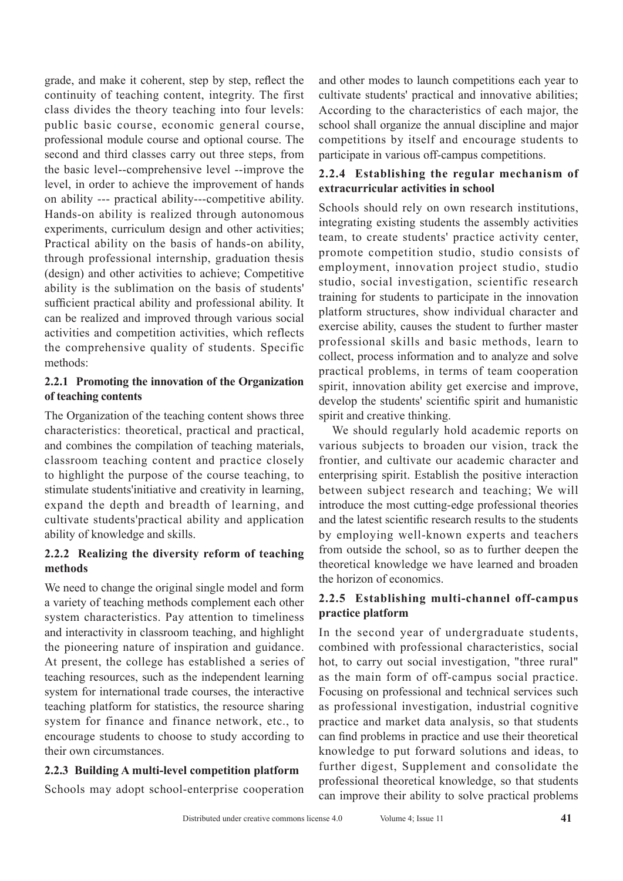grade, and make it coherent, step by step, reflect the continuity of teaching content, integrity. The first class divides the theory teaching into four levels: public basic course, economic general course, professional module course and optional course. The second and third classes carry out three steps, from the basic level--comprehensive level --improve the level, in order to achieve the improvement of hands on ability --- practical ability---competitive ability. Hands-on ability is realized through autonomous experiments, curriculum design and other activities; Practical ability on the basis of hands-on ability, through professional internship, graduation thesis (design) and other activities to achieve; Competitive ability is the sublimation on the basis of students' sufficient practical ability and professional ability. It can be realized and improved through various social activities and competition activities, which reflects the comprehensive quality of students. Specific methods:

#### **2.2.1 Promoting the innovation of the Organization of teaching contents**

The Organization of the teaching content shows three characteristics: theoretical, practical and practical, and combines the compilation of teaching materials, classroom teaching content and practice closely to highlight the purpose of the course teaching, to stimulate students'initiative and creativity in learning, expand the depth and breadth of learning, and cultivate students'practical ability and application ability of knowledge and skills.

# **2.2.2 Realizing the diversity reform of teaching methods**

We need to change the original single model and form a variety of teaching methods complement each other system characteristics. Pay attention to timeliness and interactivity in classroom teaching, and highlight the pioneering nature of inspiration and guidance. At present, the college has established a series of teaching resources, such as the independent learning system for international trade courses, the interactive teaching platform for statistics, the resource sharing system for finance and finance network, etc., to encourage students to choose to study according to their own circumstances.

# **2.2.3 Building A multi-level competition platform**

Schools may adopt school-enterprise cooperation

and other modes to launch competitions each year to cultivate students' practical and innovative abilities; According to the characteristics of each major, the school shall organize the annual discipline and major competitions by itself and encourage students to participate in various off-campus competitions.

# **2.2.4 Establishing the regular mechanism of extracurricular activities in school**

Schools should rely on own research institutions, integrating existing students the assembly activities team, to create students' practice activity center, promote competition studio, studio consists of employment, innovation project studio, studio studio, social investigation, scientific research training for students to participate in the innovation platform structures, show individual character and exercise ability, causes the student to further master professional skills and basic methods, learn to collect, process information and to analyze and solve practical problems, in terms of team cooperation spirit, innovation ability get exercise and improve, develop the students' scientific spirit and humanistic spirit and creative thinking.

We should regularly hold academic reports on various subjects to broaden our vision, track the frontier, and cultivate our academic character and enterprising spirit. Establish the positive interaction between subject research and teaching; We will introduce the most cutting-edge professional theories and the latest scientific research results to the students by employing well-known experts and teachers from outside the school, so as to further deepen the theoretical knowledge we have learned and broaden the horizon of economics.

# **2.2.5 Establishing multi-channel off-campus practice platform**

In the second year of undergraduate students, combined with professional characteristics, social hot, to carry out social investigation, "three rural" as the main form of off-campus social practice. Focusing on professional and technical services such as professional investigation, industrial cognitive practice and market data analysis, so that students can find problems in practice and use their theoretical knowledge to put forward solutions and ideas, to further digest, Supplement and consolidate the professional theoretical knowledge, so that students can improve their ability to solve practical problems